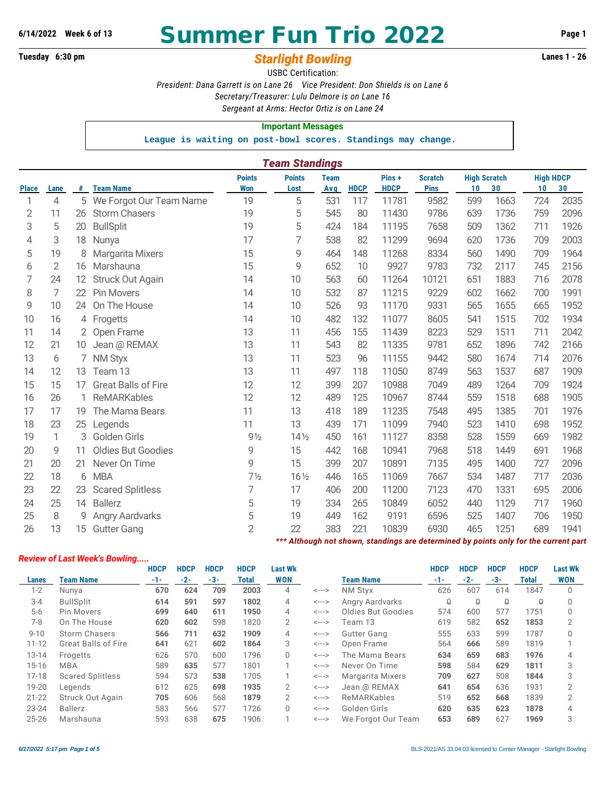# **6/14/2022 Week 6 of 13 Summer Fun Trio 2022 Page 1**

# **Tuesday 6:30 pm** *Starlight Bowling* **Lanes 1 - 26**

USBC Certification: *President: Dana Garrett is on Lane 26 Vice President: Don Shields is on Lane 6 Secretary/Treasurer: Lulu Delmore is on Lane 16 Sergeant at Arms: Hector Ortiz is on Lane 24*

**Important Messages**

**League is waiting on post-bowl scores. Standings may change.**

|              | <b>Team Standings</b> |    |                            |                |                 |             |             |             |                                                                                      |                     |      |                  |      |  |
|--------------|-----------------------|----|----------------------------|----------------|-----------------|-------------|-------------|-------------|--------------------------------------------------------------------------------------|---------------------|------|------------------|------|--|
|              |                       |    |                            | <b>Points</b>  | <b>Points</b>   | <b>Team</b> |             | Pins+       | <b>Scratch</b>                                                                       | <b>High Scratch</b> |      | <b>High HDCP</b> |      |  |
| <b>Place</b> | Lane                  | #  | <b>Team Name</b>           | <b>Won</b>     | Lost            | <b>Avg</b>  | <b>HDCP</b> | <b>HDCP</b> | <b>Pins</b>                                                                          | 10                  | 30   | 10               | 30   |  |
| 1            | 4                     | 5  | We Forgot Our Team Name    | 19             | 5               | 531         | 117         | 11781       | 9582                                                                                 | 599                 | 1663 | 724              | 2035 |  |
| 2            | 11                    | 26 | <b>Storm Chasers</b>       | 19             | 5               | 545         | 80          | 11430       | 9786                                                                                 | 639                 | 1736 | 759              | 2096 |  |
| 3            | 5                     | 20 | <b>BullSplit</b>           | 19             | 5               | 424         | 184         | 11195       | 7658                                                                                 | 509                 | 1362 | 711              | 1926 |  |
| 4            | 3                     | 18 | Nunya                      | 17             | 7               | 538         | 82          | 11299       | 9694                                                                                 | 620                 | 1736 | 709              | 2003 |  |
| 5            | 19                    | 8  | Margarita Mixers           | 15             | 9               | 464         | 148         | 11268       | 8334                                                                                 | 560                 | 1490 | 709              | 1964 |  |
| 6            | $\overline{2}$        | 16 | Marshauna                  | 15             | 9               | 652         | 10          | 9927        | 9783                                                                                 | 732                 | 2117 | 745              | 2156 |  |
| 7            | 24                    | 12 | Struck Out Again           | 14             | 10              | 563         | 60          | 11264       | 10121                                                                                | 651                 | 1883 | 716              | 2078 |  |
| 8            | 7                     | 22 | <b>Pin Movers</b>          | 14             | 10              | 532         | 87          | 11215       | 9229                                                                                 | 602                 | 1662 | 700              | 1991 |  |
| 9            | 10                    | 24 | On The House               | 14             | 10              | 526         | 93          | 11170       | 9331                                                                                 | 565                 | 1655 | 665              | 1952 |  |
| 10           | 16                    |    | 4 Frogetts                 | 14             | 10              | 482         | 132         | 11077       | 8605                                                                                 | 541                 | 1515 | 702              | 1934 |  |
| 11           | 14                    |    | 2 Open Frame               | 13             | 11              | 456         | 155         | 11439       | 8223                                                                                 | 529                 | 1511 | 711              | 2042 |  |
| 12           | 21                    | 10 | Jean @ REMAX               | 13             | 11              | 543         | 82          | 11335       | 9781                                                                                 | 652                 | 1896 | 742              | 2166 |  |
| 13           | 6                     | 7  | <b>NM Styx</b>             | 13             | 11              | 523         | 96          | 11155       | 9442                                                                                 | 580                 | 1674 | 714              | 2076 |  |
| 14           | 12                    | 13 | Team 13                    | 13             | 11              | 497         | 118         | 11050       | 8749                                                                                 | 563                 | 1537 | 687              | 1909 |  |
| 15           | 15                    | 17 | <b>Great Balls of Fire</b> | 12             | 12              | 399         | 207         | 10988       | 7049                                                                                 | 489                 | 1264 | 709              | 1924 |  |
| 16           | 26                    | 1  | <b>ReMARKables</b>         | 12             | 12              | 489         | 125         | 10967       | 8744                                                                                 | 559                 | 1518 | 688              | 1905 |  |
| 17           | 17                    | 19 | The Mama Bears             | 11             | 13              | 418         | 189         | 11235       | 7548                                                                                 | 495                 | 1385 | 701              | 1976 |  |
| 18           | 23                    | 25 | Legends                    | 11             | 13              | 439         | 171         | 11099       | 7940                                                                                 | 523                 | 1410 | 698              | 1952 |  |
| 19           | $\mathbf{1}$          | 3  | Golden Girls               | $9\frac{1}{2}$ | $14\frac{1}{2}$ | 450         | 161         | 11127       | 8358                                                                                 | 528                 | 1559 | 669              | 1982 |  |
| 20           | 9                     | 11 | <b>Oldies But Goodies</b>  | 9              | 15              | 442         | 168         | 10941       | 7968                                                                                 | 518                 | 1449 | 691              | 1968 |  |
| 21           | 20                    | 21 | Never On Time              | 9              | 15              | 399         | 207         | 10891       | 7135                                                                                 | 495                 | 1400 | 727              | 2096 |  |
| 22           | 18                    | 6  | <b>MBA</b>                 | $7\frac{1}{2}$ | $16\frac{1}{2}$ | 446         | 165         | 11069       | 7667                                                                                 | 534                 | 1487 | 717              | 2036 |  |
| 23           | 22                    | 23 | <b>Scared Splitless</b>    | 7              | 17              | 406         | 200         | 11200       | 7123                                                                                 | 470                 | 1331 | 695              | 2006 |  |
| 24           | 25                    | 14 | <b>Ballerz</b>             | 5              | 19              | 334         | 265         | 10849       | 6052                                                                                 | 440                 | 1129 | 717              | 1960 |  |
| 25           | 8                     | 9  | <b>Angry Aardvarks</b>     | 5              | 19              | 449         | 162         | 9191        | 6596                                                                                 | 525                 | 1407 | 706              | 1950 |  |
| 26           | 13                    | 15 | <b>Gutter Gang</b>         | $\overline{2}$ | 22              | 383         | 221         | 10839       | 6930                                                                                 | 465                 | 1251 | 689              | 1941 |  |
|              |                       |    |                            |                |                 |             |             |             | *** Although not shown, standings are determined by points only for the current part |                     |      |                  |      |  |

#### *Review of Last Week's Bowling.....*

|           |                            | <b>HDCP</b> | <b>HDCP</b> | <b>HDCP</b> | <b>HDCP</b>  | <b>Last Wk</b> |                            |                    | <b>HDCP</b> | <b>HDCP</b> | <b>HDCP</b> | <b>HDCP</b> | <b>Last Wk</b> |
|-----------|----------------------------|-------------|-------------|-------------|--------------|----------------|----------------------------|--------------------|-------------|-------------|-------------|-------------|----------------|
| Lanes     | <b>Team Name</b>           | $-1-$       | $-2-$       | $-3-$       | <b>Total</b> | <b>WON</b>     |                            | <b>Team Name</b>   | $-1-$       | $-2-$       | $-3-$       | Total       | <b>WON</b>     |
| $1 - 2$   | Nunya                      | 670         | 624         | 709         | 2003         | 4              | <--->                      | <b>NM Stvx</b>     | 626         | 607         | 614         | 1847        |                |
| $3 - 4$   | <b>BullSplit</b>           | 614         | 591         | 597         | 1802         | 4              | <--->                      | Angry Aardvarks    | Q           | $\Omega$    | ₽           | Q           |                |
| $5-6$     | Pin Movers                 | 699         | 640         | 611         | 1950         | 4              | <--->                      | Oldies But Goodies | 574         | 600         | 577         | 1751        |                |
| $7 - 8$   | On The House               | 620         | 602         | 598         | 1820         | 2              | <--->                      | Team 13            | 619         | 582         | 652         | 1853        |                |
| $9 - 10$  | <b>Storm Chasers</b>       | 566         | 711         | 632         | 1909         | 4              | <--->                      | Gutter Gang        | 555         | 633         | 599         | 1787        |                |
| $11 - 12$ | <b>Great Balls of Fire</b> | 641         | 621         | 602         | 1864         | 3              | <--->                      | Open Frame         | 564         | 666         | 589         | 1819        |                |
| $13 - 14$ | Frogetts                   | 626         | 570         | 600         | 1796         | 0              | <--->                      | The Mama Bears     | 634         | 659         | 683         | 1976        | 4              |
| $15 - 16$ | <b>MBA</b>                 | 589         | 635         | 577         | 1801         |                | $\leftarrow$ $\rightarrow$ | Never On Time      | 598         | 584         | 629         | 1811        | 3              |
| $17 - 18$ | <b>Scared Splitless</b>    | 594         | 573         | 538         | 1705         |                | <--->                      | Margarita Mixers   | 709         | 627         | 508         | 1844        | 3              |
| 19-20     | Legends                    | 612         | 625         | 698         | 1935         | 2              | <--->                      | Jean @ REMAX       | 641         | 654         | 636         | 1931        | 2              |
| $21 - 22$ | Struck Out Again           | 705         | 606         | 568         | 1879         | 2              | <--->                      | ReMARKables        | 519         | 652         | 668         | 1839        | 2              |
| $23 - 24$ | <b>Ballerz</b>             | 583         | 566         | 577         | 1726         | $\Omega$       | <--->                      | Golden Girls       | 620         | 635         | 623         | 1878        | 4              |
| $25 - 26$ | Marshauna                  | 593         | 638         | 675         | 1906         |                | <--->                      | We Forgot Our Team | 653         | 689         | 627         | 1969        | 3              |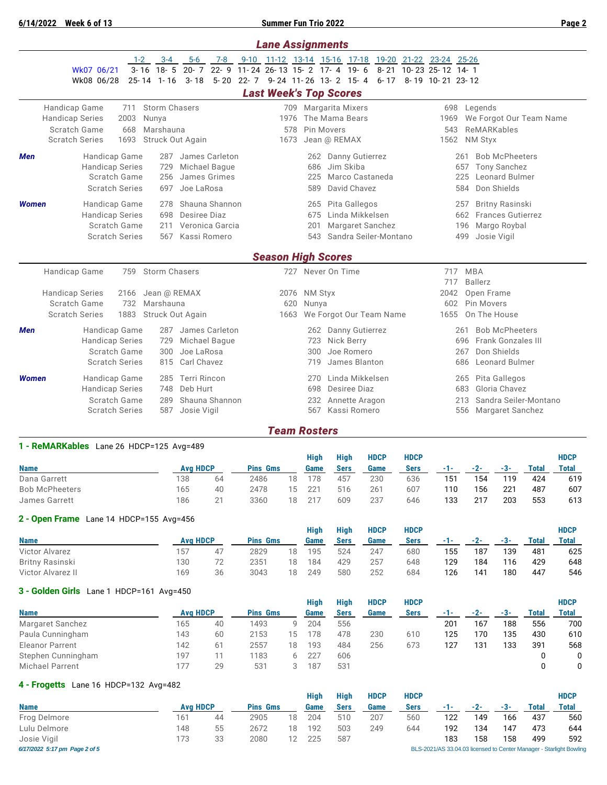**6/14/2022 Week 6 of 13 Summer Fun Trio 2022 Page 2**

|              |                                                                                                                                                                                                | <b>Lane Assignments</b>                                                                                                                                                                                                           |  |
|--------------|------------------------------------------------------------------------------------------------------------------------------------------------------------------------------------------------|-----------------------------------------------------------------------------------------------------------------------------------------------------------------------------------------------------------------------------------|--|
|              | $3 - 4$<br>$5-6$<br>$1 - 2$<br>7-8<br>$3 - 16$ 18 $-5$<br>$20 - 7$<br>Wk07 06/21<br>Wk08 06/28<br>$25 - 14$ 1 - 16<br>$3 - 18$                                                                 | 9-10 11-12 13-14 15-16 17-18 19-20 21-22 23-24 25-26<br>22-9 11-24 26-13 15-2 17-4 19-6<br>8-21 10-23 25-12 14-1<br>5-20 22-7 9-24 11-26 13-2 15-4<br>6-17 8-19 10-21 23-12                                                       |  |
|              |                                                                                                                                                                                                | <b>Last Week's Top Scores</b>                                                                                                                                                                                                     |  |
|              | Storm Chasers<br>Handicap Game<br>711<br><b>Handicap Series</b><br>2003<br>Nunya<br>Scratch Game<br>668<br>Marshauna<br><b>Scratch Series</b><br>1693<br>Struck Out Again                      | <b>Margarita Mixers</b><br>698<br>Legends<br>709<br>The Mama Bears<br>We Forgot Our Team Name<br>1976<br>1969<br>Pin Movers<br>ReMARKables<br>578<br>543<br>1562<br>1673<br>Jean @ REMAX<br><b>NM Styx</b>                        |  |
| <b>Men</b>   | James Carleton<br>Handicap Game<br>287<br><b>Handicap Series</b><br>729<br>Michael Baque<br>Scratch Game<br>256<br>James Grimes<br><b>Scratch Series</b><br>Joe LaRosa<br>697                  | <b>Bob McPheeters</b><br>262 Danny Gutierrez<br>261<br>Jim Skiba<br><b>Tony Sanchez</b><br>686<br>657<br>225<br>Marco Castaneda<br>Leonard Bulmer<br>225<br>David Chavez<br>Don Shields<br>589<br>584                             |  |
| <b>Women</b> | Shauna Shannon<br>Handicap Game<br>278<br><b>Handicap Series</b><br>Desiree Diaz<br>698<br>Scratch Game<br>Veronica Garcia<br>211<br><b>Scratch Series</b><br>Kassi Romero<br>567              | Pita Gallegos<br><b>Britny Rasinski</b><br>257<br>265<br>Linda Mikkelsen<br><b>Frances Gutierrez</b><br>675<br>662<br><b>Margaret Sanchez</b><br>Margo Roybal<br>201<br>196<br>Sandra Seiler-Montano<br>Josie Vigil<br>543<br>499 |  |
|              |                                                                                                                                                                                                | <b>Season High Scores</b>                                                                                                                                                                                                         |  |
|              | <b>Storm Chasers</b><br>Handicap Game<br>759<br><b>Handicap Series</b><br>Jean @ REMAX<br>2166<br>Scratch Game<br>Marshauna<br>732<br><b>Scratch Series</b><br>1883<br><b>Struck Out Again</b> | 727 Never On Time<br>717<br><b>MBA</b><br><b>Ballerz</b><br>717<br>2042<br>Open Frame<br>2076<br><b>NM Styx</b><br>Pin Movers<br>620<br>Nunya<br>602<br>We Forgot Our Team Name<br>1655<br>On The House<br>1663                   |  |
| Men          | Handicap Game<br>James Carleton<br>287<br><b>Handicap Series</b><br>729<br>Michael Baque<br>Scratch Game<br>300<br>Joe LaRosa<br>815<br>Carl Chavez<br><b>Scratch Series</b>                   | <b>Bob McPheeters</b><br>262 Danny Gutierrez<br>261<br>Nick Berry<br><b>Frank Gonzales III</b><br>723<br>696<br>Joe Romero<br>Don Shields<br>300<br>267<br>James Blanton<br>719<br><b>Leonard Bulmer</b><br>686                   |  |
| <b>Women</b> | <b>Terri Rincon</b><br>285<br>Handicap Game<br>Deb Hurt<br><b>Handicap Series</b><br>748<br>Scratch Game<br>Shauna Shannon<br>289<br><b>Scratch Series</b><br>587<br>Josie Vigil               | Linda Mikkelsen<br>270<br>Pita Gallegos<br>265<br>Gloria Chavez<br>698<br>Desiree Diaz<br>683<br>Sandra Seiler-Montano<br>Annette Aragon<br>213<br>232<br>Kassi Romero<br>567<br>556 Margaret Sanchez                             |  |

## *Team Rosters*

Bob McPheeters 165 40 2478 15 221 516 261 607 110 156 221 487 607 James Garrett 186 21 3360 18 217 609 237 646 133 217 203 553 613

| 1 - ReMARKables Lane 26 HDCP=125 Avg=489 |                 |    |                 |    |      |             |             |             |     |       |     |       |              |
|------------------------------------------|-----------------|----|-----------------|----|------|-------------|-------------|-------------|-----|-------|-----|-------|--------------|
|                                          |                 |    |                 |    | Hiah | High        | <b>HDCP</b> | <b>HDCP</b> |     |       |     |       | <b>HDCP</b>  |
| <b>Name</b>                              | <b>Avg HDCP</b> |    | <b>Pins Gms</b> |    | Game | <b>Sers</b> | Game        | <b>Sers</b> | -1- | $-2-$ | -3- | Total | <b>Total</b> |
| Dana Garrett                             | 138             | 64 | 2486            | 18 | 178  | 457         | 230         | 636         | 151 | 154   | 119 | 424   | 619          |

## **2 - Open Frame** Lane 14 HDCP=155 Avg=456

|                       |                 |    |                 |    | <b>High</b> | <b>High</b> | <b>HDCP</b> | <b>HDCP</b> |     |       |       |              | <b>HDCP</b>  |
|-----------------------|-----------------|----|-----------------|----|-------------|-------------|-------------|-------------|-----|-------|-------|--------------|--------------|
| <b>Name</b>           | <b>Avg HDCP</b> |    | <b>Pins Gms</b> |    | Game        | <b>Sers</b> | Game        | <b>Sers</b> | -1- | $-2-$ | $-3-$ | <b>Total</b> | <b>Total</b> |
| <b>Victor Alvarez</b> | 157             | 47 | 2829            | 18 | 195         | 524         | 247         | 680         | 155 | 187   | 139   | 481          | 625          |
| Britny Rasinski       | 130             | 72 | 2351            | 18 | 184         | 429         | 257         | 648         | 129 | 184   | 116   | 429          | 648          |
| Victor Alvarez II     | 169             | 36 | 3043            | 18 | 249         | 580         | 252         | 684         | 126 | 141   | 180   | 447          | 546          |

## **3 - Golden Girls** Lane 1 HDCP=161 Avg=450

|                        |                 |    |                 |     | High | High | <b>HDCP</b> | <b>HDCP</b> |         |     |     |       | <b>HDCP</b>  |
|------------------------|-----------------|----|-----------------|-----|------|------|-------------|-------------|---------|-----|-----|-------|--------------|
| <b>Name</b>            | <b>Avg HDCP</b> |    | <b>Pins Gms</b> |     | Game | Sers | Game        | <b>Sers</b> | and the |     |     | Total | <b>Total</b> |
| Margaret Sanchez       | 165             | 40 | 1493            | a   | 204  | 556  |             |             | 201     | 167 | 188 | 556   | 700          |
| Paula Cunningham       | 143             | 60 | 2153            | 15. | 78   | 478  | 230         | 610         | 125     | 170 | 135 | 430   | 610          |
| <b>Eleanor Parrent</b> | 142             | 61 | 2557            | 18  | 193  | 484  | 256         | 673         | 127     | 131 | 133 | 391   | 568          |
| Stephen Cunningham     | 197             |    | 1183            |     | 227  | 606  |             |             |         |     |     |       |              |
| <b>Michael Parrent</b> | 177             | 29 | 531             |     | 187  | 531  |             |             |         |     |     |       |              |

## **4 - Frogetts** Lane 16 HDCP=132 Avg=482

|                                                                                                      |                 |    |                 |    | Hiah | <b>High</b> | <b>HDCP</b> | <b>HDCP</b> |     |       |     |              | <b>HDCP</b>  |
|------------------------------------------------------------------------------------------------------|-----------------|----|-----------------|----|------|-------------|-------------|-------------|-----|-------|-----|--------------|--------------|
| <b>Name</b>                                                                                          | <b>Ava HDCP</b> |    | <b>Pins Gms</b> |    | Game | <b>Sers</b> | Game        | Sers        |     | $-2-$ | -3- | <b>Total</b> | <b>Total</b> |
| Frog Delmore                                                                                         | 161             | 44 | 2905            | 18 | 204  | 510         | 207         | 560         | 122 | 149   | 166 | 437          | 560          |
| Lulu Delmore                                                                                         | 148             | 55 | 2672            | 18 | 192  | 503         | 249         | 644         | 192 | 134   | 147 | 473          | 644          |
| Josie Vigil                                                                                          | 173             | 33 | 2080            |    | 225  | 587         |             |             | 183 | 158   | 158 | 499          | 592          |
| BLS-2021/AS 33.04.03 licensed to Center Manager - Starlight Bowling<br>6/17/2022 5:17 pm Page 2 of 5 |                 |    |                 |    |      |             |             |             |     |       |     |              |              |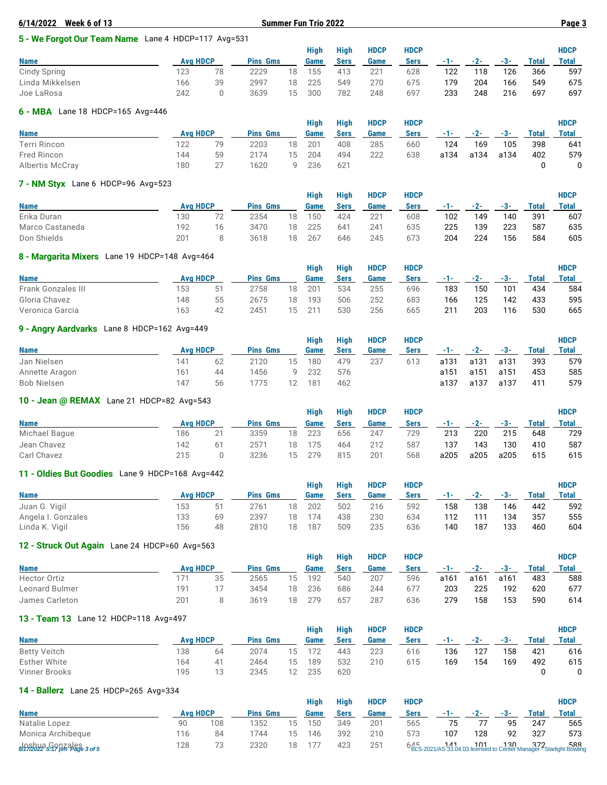|                                                                                 |    |                 |    |                 |             |                             |             |     |       |     |       | Page 3 |  |  |
|---------------------------------------------------------------------------------|----|-----------------|----|-----------------|-------------|-----------------------------|-------------|-----|-------|-----|-------|--------|--|--|
| 5 - We Forgot Our Team Name Lane 4 HDCP=117 Avg=531                             |    |                 |    |                 |             |                             |             |     |       |     |       |        |  |  |
| Hiah<br><b>High</b><br><b>HDCP</b><br><b>HDCP</b><br><b>HDCP</b><br><b>Name</b> |    |                 |    |                 |             |                             |             |     |       |     |       |        |  |  |
|                                                                                 |    |                 |    | Game            | <b>Sers</b> | Game                        | <b>Sers</b> | -1- | $-2-$ | -3- | Total | Total  |  |  |
| 123                                                                             | 78 | 2229            | 18 | 155             | 413         | 221                         | 628         | 122 | 118   | 126 | 366   | 597    |  |  |
| 166                                                                             | 39 | 2997            | 18 | 225             | 549         | 270                         | 675         | 179 | 204   | 166 | 549   | 675    |  |  |
| 242                                                                             |    | 3639            | 15 | 300             | 782         | 248                         | 697         | 233 | 248   | 216 | 697   | 697    |  |  |
|                                                                                 |    | <b>Avg HDCP</b> |    | <b>Pins Gms</b> |             | <b>Summer Fun Trio 2022</b> |             |     |       |     |       |        |  |  |

## **6 - MBA** Lane 18 HDCP=165 Avg=446

| _____           |                 |    |                 |    |      |             |             |             |       |       |      |       |             |
|-----------------|-----------------|----|-----------------|----|------|-------------|-------------|-------------|-------|-------|------|-------|-------------|
|                 |                 |    |                 |    | High | <b>High</b> | <b>HDCP</b> | <b>HDCP</b> |       |       |      |       | <b>HDCP</b> |
| <b>Name</b>     | <b>Avg HDCP</b> |    | <b>Pins Gms</b> |    | Game | Sers        | Game        | Sers        | $-1-$ | $-2-$ | -3-  | Total | Total       |
| Terri Rincon    | 122             | 70 | 2203            | 18 | 201  | 408         | 285         | 660         | 124   | 169   | 105  | 398   | 641         |
| Fred Rincon     | 144             | 59 | 2174            | 15 | 204  | 494         | 222         | 638         | a134  | a134  | a134 | 402   | 579         |
| Albertis McCray | 180             |    | 1620            | a  | 236  | 621         |             |             |       |       |      |       |             |

#### **7 - NM Styx** Lane 6 HDCP=96 Avg=523

|                 |              |                 |                 |    | Hiah | <b>High</b> | <b>HDCP</b>     | <b>HDCP</b> |       |       |       |       | <b>HDCP</b>  |
|-----------------|--------------|-----------------|-----------------|----|------|-------------|-----------------|-------------|-------|-------|-------|-------|--------------|
| <b>Name</b>     |              | <b>Avg HDCP</b> | <b>Pins Gms</b> |    | Game | Sers        | Game            | Sers        | - 1 - | $-2-$ | $-3-$ | Total | <b>Total</b> |
| Erika Duran     | 130          | 70              | 2354            | 18 | 150  | 424         | 22 <sup>1</sup> | 608         | 102   | 149   | 140   | 391   | 607          |
| Marco Castaneda | 192          | 16              | 3470            | 18 | 225  | 641         | 241             | 635         | 225   | 139   | 223   | 587   | 635          |
| Don Shields     | $20^{\circ}$ |                 | 3618            | 18 | 267  | 646         | 245             | 673         | 204   | 224   | 156   | 584   | 605          |

## **8 - Margarita Mixers** Lane 19 HDCP=148 Avg=464

|                           |                 |    |                    |    | Hiah   | <b>High</b> | <b>HDCP</b> | HDCP |       |       |     |              | <b>HDCP</b> |
|---------------------------|-----------------|----|--------------------|----|--------|-------------|-------------|------|-------|-------|-----|--------------|-------------|
| <b>Name</b>               | <b>Ava HDCP</b> |    | <b>Pins</b><br>Gms |    | Game   | Sers        | Game        | Sers | - 1 - | $-2-$ | -3- | <b>Total</b> | Total       |
| <b>Frank Gonzales III</b> | 153             | 51 | 2758               | 18 | 201    | 534         | 255         | 696  | 183   | 150   | 101 | 434          | 584         |
| Gloria Chavez             | 148             | 55 | 2675               | 18 | 193    | 506         | 252         | 683  | 166   | 125   | 142 | 433          | 595         |
| Veronica Garcia           | 163             | 42 | 2451               | 15 | $21 -$ | 530         | 256         | 665  | 211   | 203   | 116 | 530          | 665         |

## **9 - Angry Aardvarks** Lane 8 HDCP=162 Avg=449

| - -            |                 |    |                 |    | Hiah | <b>High</b> | <b>HDCP</b> | <b>HDCP</b> |      |       |       |              | <b>HDCP</b> |
|----------------|-----------------|----|-----------------|----|------|-------------|-------------|-------------|------|-------|-------|--------------|-------------|
| <b>Name</b>    | <b>Ava HDCP</b> |    | <b>Pins Gms</b> |    | Game | Sers        | Game        | Sers        | -1-1 | $-2-$ | $-3-$ | <b>Total</b> | Total       |
| Jan Nielsen    | 141             | 62 | 2120            | 15 | 180  | 479         | 237         | 613         | a131 | a131  | a131  | 393          | 579         |
| Annette Aragon | 161             | 44 | 1456            |    | 232  | 576         |             |             | a151 | a151  | a151  | 453          | 585         |
| Bob Nielsen    | 147             | 56 | 1775            |    | 181  | 462         |             |             | a137 | a137  | a137  | 411          | 579         |

## **10 - Jean @ REMAX** Lane 21 HDCP=82 Avg=543

|     |    |                                                                       |    | Hiah            | <b>High</b> | <b>HDCP</b> | <b>HDCP</b> |       |       |      |       | <b>HDCP</b> |
|-----|----|-----------------------------------------------------------------------|----|-----------------|-------------|-------------|-------------|-------|-------|------|-------|-------------|
|     |    |                                                                       |    | Game            | Sers        | Game        | <b>Sers</b> | $-1-$ | $-2-$ | -3-  | Total | Total       |
| 186 | 21 | 3359                                                                  | 18 | 223             | 656         | 247         | 729         | 213   | 220   | 215  | 648   | 729         |
| 142 | 61 | 2571                                                                  | 18 | 175             | 464         | 212         | 587         | 137   | 143   | 130  | 410   | 587         |
| 215 |    | 3236                                                                  | 15 | 279             | 815         | 201         | 568         | a205  | a205  | a205 | 615   | 615         |
|     |    | <b>10 OCGIT WORLDWAY</b> EQUO 21 TIDOT OF THIS OTO<br><b>Avg HDCP</b> |    | <b>Pins Gms</b> |             |             |             |       |       |      |       |             |

#### **11 - Oldies But Goodies** Lane 9 HDCP=168 Avg=442

| $\blacksquare$     |                 |    |                 |    |      |             |             |             |     |       |       |       |              |
|--------------------|-----------------|----|-----------------|----|------|-------------|-------------|-------------|-----|-------|-------|-------|--------------|
|                    |                 |    |                 |    | Hiah | <b>High</b> | <b>HDCP</b> | <b>HDCP</b> |     |       |       |       | <b>HDCP</b>  |
| <b>Name</b>        | <b>Avg HDCP</b> |    | <b>Pins Gms</b> |    | Game | Sers        | Game        | <b>Sers</b> | -1- | $-2-$ | $-3-$ | Total | <b>Total</b> |
| Juan G. Vigil      | 153             | 51 | 2761            | 18 | 202  | 502         | 216         | 592         | 158 | 138   | 146   | 442   | 592          |
| Angela I. Gonzales | 133             | 69 | 2397            | 18 | 174  | 438         | 230         | 634         | 112 | 111   | 134   | 357   | 555          |
| Linda K. Vigil     | 156             | 48 | 2810            | 18 | 187  | 509         | 235         | 636         | 140 | 187   | 133   | 460   | 604          |

## **12 - Struck Out Again** Lane 24 HDCP=60 Avg=563

|                |                 |    |                 |    | Hiah | High | <b>HDCP</b> | <b>HDCP</b> |      |       |       |              | <b>HDCP</b> |
|----------------|-----------------|----|-----------------|----|------|------|-------------|-------------|------|-------|-------|--------------|-------------|
| <b>Name</b>    | <b>Ava HDCP</b> |    | <b>Pins Gms</b> |    | Game | Sers | Game        | <b>Sers</b> | -1-  | $-2-$ | $-3-$ | <b>Total</b> | Total       |
| Hector Ortiz   |                 | 35 | 2565            | 15 | 192  | 540  | 207         | 596         | a161 | a161  | a161  | 483          | 588         |
| Leonard Bulmer | 191             |    | 3454            | 18 | 236  | 686  | 244         | 677         | 203  | 225   | 192   | 620          | 677         |
| James Carleton | 201             |    | 3619            | 18 | 279  | 657  | 287         | 636         | 279  | 158   | 153   | 590          | 614         |

#### **13 - Team 13** Lane 12 HDCP=118 Avg=497

| $\frac{1}{2}$ . $\frac{1}{2}$ and $\frac{1}{2}$ and $\frac{1}{2}$ . $\frac{1}{2}$ . $\frac{1}{2}$ . $\frac{1}{2}$ . $\frac{1}{2}$ |                 |    |                 |    |      |      |             |             |        |       |       |              |             |
|-----------------------------------------------------------------------------------------------------------------------------------|-----------------|----|-----------------|----|------|------|-------------|-------------|--------|-------|-------|--------------|-------------|
|                                                                                                                                   |                 |    |                 |    | Hiah | High | <b>HDCP</b> | <b>HDCP</b> |        |       |       |              | <b>HDCP</b> |
| <b>Name</b>                                                                                                                       | <b>Ava HDCP</b> |    | <b>Pins Gms</b> |    | Game | Sers | Game        | Sers        | in The | $-2-$ | $-3-$ | <b>Total</b> | Total       |
| <b>Betty Veitch</b>                                                                                                               | 138             | 64 | 2074            | 15 | 172  | 443  | 223         | 616         | 136    | 127   | 158   | 421          | 616         |
| <b>Esther White</b>                                                                                                               | 164             | 41 | 2464            | 15 | 189  | 532  | 210         | 615         | 169    | 154   | 169   | 492          | 615         |
| Vinner Brooks                                                                                                                     | 195             | 13 | 2345            |    | 235  | 620  |             |             |        |       |       |              | 0           |

## **14 - Ballerz** Lane 25 HDCP=265 Avg=334

|                                                      |                 |     |                 |    | <b>High</b> | <b>High</b> | <b>HDCP</b> | <b>HDCP</b> |       |       |     |       | <b>HDCP</b>                                                                            |
|------------------------------------------------------|-----------------|-----|-----------------|----|-------------|-------------|-------------|-------------|-------|-------|-----|-------|----------------------------------------------------------------------------------------|
| <b>Name</b>                                          | <b>Ava HDCP</b> |     | <b>Pins Gms</b> |    | Game        | <b>Sers</b> | Game        | <b>Sers</b> | - 1 - | $-2-$ | -3- | Total | <b>Total</b>                                                                           |
| Natalie Lopez                                        | 90              | 108 | 1352            | 15 | 150         | 349         | 201         | 565         | 75    |       | 95  | 247   | 565                                                                                    |
| Monica Archibeque                                    | 116             | 84  | 744             | 15 | 146         | 392         | 210         | 573         | 107   | 128   | 92  | 327   | 573                                                                                    |
| $6/2/222$ 5.19 $\beta$ <i>R</i> $\beta$ alese 3 of 5 | 128             | 73  | 2320            | 18 |             | 423         | 251         |             |       |       |     |       | 588 141 130 372<br>BLS-2021/AS 33.04.03 licensed to Center Manager - Starlight Bowling |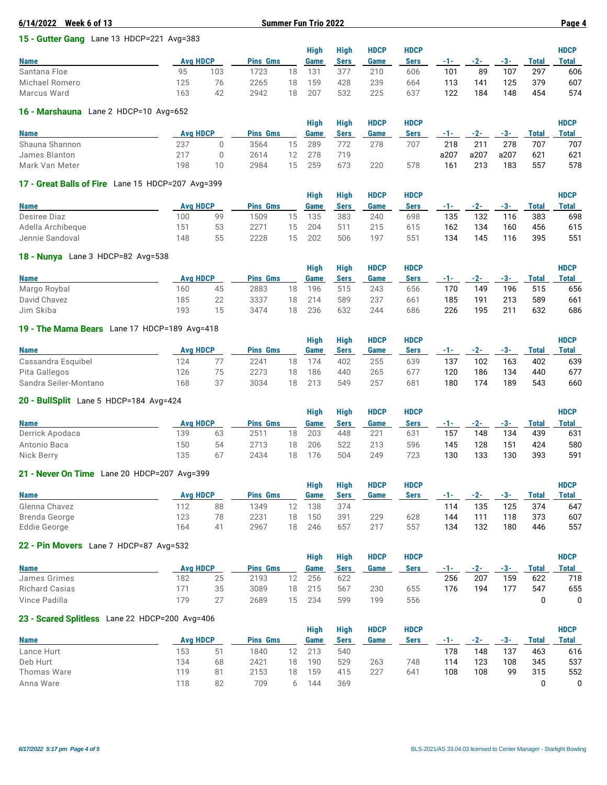| 6/14/2022<br>Week 6 of 13                 |                 |     |                 |    | <b>Summer Fun Trio 2022</b> |             |             |             |     |       |     |       | Page 4      |
|-------------------------------------------|-----------------|-----|-----------------|----|-----------------------------|-------------|-------------|-------------|-----|-------|-----|-------|-------------|
| 15 - Gutter Gang Lane 13 HDCP=221 Avg=383 |                 |     |                 |    |                             |             |             |             |     |       |     |       |             |
|                                           |                 |     |                 |    | <b>High</b>                 | <b>High</b> | <b>HDCP</b> | <b>HDCP</b> |     |       |     |       | <b>HDCP</b> |
| <b>Name</b>                               | <b>Ava HDCP</b> |     | <b>Pins Gms</b> |    | Game                        | <b>Sers</b> | Game        | <b>Sers</b> | -1- | $-2-$ | -3- | Total | Total       |
| Santana Floe                              | 95              | 103 | 1723            | 18 | 131                         | 377         | 210         | 606         | 101 | 89    | 107 | 297   | 606         |
| Michael Romero                            | 125             | 76  | 2265            | 18 | 159                         | 428         | 239         | 664         | 113 | 141   | 125 | 379   | 607         |
| Marcus Ward                               | 163             | 42  | 2942            | 18 | 207                         | 532         | 225         | 637         | 122 | 184   | 148 | 454   | 574         |
|                                           |                 |     |                 |    |                             |             |             |             |     |       |     |       |             |

#### **16 - Marshauna** Lane 2 HDCP=10 Avg=652

|                |                 |    |                 |    | Hiah | Hiah | <b>HDCP</b> | <b>HDCP</b> |       |       |      |       | <b>HDCP</b> |
|----------------|-----------------|----|-----------------|----|------|------|-------------|-------------|-------|-------|------|-------|-------------|
| <b>Name</b>    | <b>Ava HDCP</b> |    | <b>Pins Gms</b> |    | Game | Sers | Game        | <b>Sers</b> | - 1 - | $-2-$ | -3-  | Total | Total       |
| Shauna Shannon | 237             |    | 3564            | 15 | 289  | 772  | 278         | 707         | 218   | 211   | 278  | 707   | 707         |
| James Blanton  | 217             |    | 2614            | 12 | 278  | 719  |             |             | a207  | a207  | a207 | 621   | 621         |
| Mark Van Meter | 198             | 10 | 2984            | 15 | 259  | 673  | 220         | 578         | 161   | 213   | 183  | 557   | 578         |

#### **17 - Great Balls of Fire** Lane 15 HDCP=207 Avg=399

|                   |                 |    |                 |        | Hiah | Hiah | <b>HDCP</b> | <b>HDCP</b> |       |       |     |       | <b>HDCP</b> |
|-------------------|-----------------|----|-----------------|--------|------|------|-------------|-------------|-------|-------|-----|-------|-------------|
| <b>Name</b>       | <b>Ava HDCP</b> |    | <b>Pins Gms</b> |        | Game | Sers | Game        | Sers        | - 1 - | $-2-$ | -3- | Total | Total       |
| Desiree Diaz      | 100             | 99 | 1509            | 15     | 135  | 383  | 240         | 698         | 135   | 132   | 116 | 383   | 698         |
| Adella Archibeque | 151             | 53 | 2271            | $15 -$ | 204  | 511  | 215         | 615         | 162   | 134   | 160 | 456   | 615         |
| Jennie Sandoval   | 148             | 55 | 2228            | 15     | 202  | 506  | 197         | 551         | 134   | 145   | 116 | 395   | 551         |

## **18 - Nunya** Lane 3 HDCP=82 Avg=538

|     |    |                 |    | Hiah            | Hiah | <b>HDCP</b> | <b>HDCP</b> |     |       |     |       | <b>HDCP</b>  |
|-----|----|-----------------|----|-----------------|------|-------------|-------------|-----|-------|-----|-------|--------------|
|     |    |                 |    | Game            | Sers | Game        | <b>Sers</b> | -1- | $-2-$ | -3- | Total | <b>Total</b> |
| 160 | 45 | 2883            | 18 | 196             | 515  | 243         | 656         | 170 | 149   | 196 | 515   | 656          |
| 185 | 22 | 3337            | 18 | 214             | 589  | 237         | 661         | 185 | 191   | 213 | 589   | 661          |
| 193 | 15 | 3474            | 18 | 236             | 632  | 244         | 686         | 226 | 195   | 211 | 632   | 686          |
|     |    | <b>Ava HDCP</b> |    | <b>Pins Gms</b> |      |             |             |     |       |     |       |              |

## **19 - The Mama Bears** Lane 17 HDCP=189 Avg=418

|                       |                 |    |                 |    | Hiah | Hiah | <b>HDCP</b> | <b>HDCP</b> |         |       |       |              | <b>HDCP</b> |
|-----------------------|-----------------|----|-----------------|----|------|------|-------------|-------------|---------|-------|-------|--------------|-------------|
| <b>Name</b>           | <b>Ava HDCP</b> |    | <b>Pins Gms</b> |    | Game | Sers | Game        | Sers        | and the | $-2-$ | $-3-$ | <b>Total</b> | Total       |
| Cassandra Esquibel    | 124             |    | 2241            | 18 | 174  | 402  | 255         | 639         | 137     | 102   | 163   | 402          | 639         |
| Pita Gallegos         | 126             | 75 | 2273            | 18 | 186  | 440  | 265         | 677         | 120     | 186   | 134   | 440          | 677         |
| Sandra Seiler-Montano | 168             | 37 | 3034            | 18 | 213  | 549  | 257         | 681         | 180     | 174   | 189   | 543          | 660         |

#### **20 - BullSplit** Lane 5 HDCP=184 Avg=424

| <b>LU DUINUDIII</b> LUICU IIDUI IUT IVU TET |                 |    |                 |    |      |      |             |             |     |       |     |       |             |
|---------------------------------------------|-----------------|----|-----------------|----|------|------|-------------|-------------|-----|-------|-----|-------|-------------|
|                                             |                 |    |                 |    | Hiah | Hiah | <b>HDCP</b> | <b>HDCP</b> |     |       |     |       | <b>HDCP</b> |
| <b>Name</b>                                 | <b>Ava HDCP</b> |    | <b>Pins Gms</b> |    | Game | Sers | Game        | <b>Sers</b> | -1- | $-2-$ | -3- | Total | Total       |
| Derrick Apodaca                             | 139             | 63 | 2511            | 18 | 203  | 448  | 221         | 631         | 157 | 148   | 134 | 439   | 631         |
| Antonio Baca                                | 150             | 54 | 2713            | 18 | 206  | 522  | 213         | 596         | 145 | 128   | 151 | 424   | 580         |
| Nick Berry                                  | 135             | 67 | 2434            | 18 | 176  | 504  | 249         | 723         | 130 | 133   | 130 | 393   | 591         |

#### **21 - Never On Time** Lane 20 HDCP=207 Avg=399

|               |     |                 |                 |    | <b>High</b> | <b>High</b> | <b>HDCP</b> | <b>HDCP</b> |       |       |     |       | <b>HDCP</b> |
|---------------|-----|-----------------|-----------------|----|-------------|-------------|-------------|-------------|-------|-------|-----|-------|-------------|
| <b>Name</b>   |     | <b>Avg HDCP</b> | <b>Pins Gms</b> |    | <b>Game</b> | Sers        | Game        | <b>Sers</b> | - 1 - | $-2-$ | -3- | Total | Total       |
| Glenna Chavez | 112 | 88              | 1349            |    | 138         | 374         |             |             | 114   | 135   | 125 | 374   | 647         |
| Brenda George | 123 | 78              | 2231            | 18 | 150         | 391         | 229         | 628         | 144   | 111   | 118 | 373   | 607         |
| Eddie George  | 164 | 41              | 2967            | 18 | 246         | 657         | 217         | 557         | 134   | 132   | 180 | 446   | 557         |

## **22 - Pin Movers** Lane 7 HDCP=87 Avg=532

|                       |                 |                  |                 |    | <b>High</b> | High | <b>HDCP</b> | <b>HDCP</b> |     |       |       |       | <b>HDCP</b> |
|-----------------------|-----------------|------------------|-----------------|----|-------------|------|-------------|-------------|-----|-------|-------|-------|-------------|
| <b>Name</b>           | <b>Ava HDCP</b> |                  | <b>Pins Gms</b> |    | Game        | Sers | Game        | <b>Sers</b> | . . | $-2-$ | $-3-$ | Total | Total       |
| James Grimes          | 182             | 25               | 2193            |    | 256         | 622  |             |             | 256 | 207   | 159   | 622   | 718         |
| <b>Richard Casias</b> |                 | 35               | 3089            | 18 | 215         | 567  | 230         | 655         | 176 | 194   | 177   | 547   | 655         |
| Vince Padilla         | 179             | クフ<br><u>، م</u> | 2689            | 15 | 234         | 599  | 199         | 556         |     |       |       |       |             |

#### **23 - Scared Splitless** Lane 22 HDCP=200 Avg=406

|             |     |                 |                 |    | High | High | <b>HDCP</b> | <b>HDCP</b> |       |     |     |       | <b>HDCP</b>  |
|-------------|-----|-----------------|-----------------|----|------|------|-------------|-------------|-------|-----|-----|-------|--------------|
| <b>Name</b> |     | <b>Ava HDCP</b> | <b>Pins Gms</b> |    | Game | Sers | Game        | Sers        | - 1 - | -2- | -3- | Total | <b>Total</b> |
| Lance Hurt  | 153 | 51              | 1840            |    | 213  | 540  |             |             | 178   | 148 | 137 | 463   | 616          |
| Deb Hurt    | 134 | 68              | 2421            | 18 | 190  | 529  | 263         | 748         | 114   | 123 | 108 | 345   | 537          |
| Thomas Ware | 119 | 81              | 2153            | 18 | 159  | 415  | 227         | 641         | 108   | 108 | 99  | 315   | 552          |
| Anna Ware   | 118 | 82              | 709             |    | 144  | 369  |             |             |       |     |     |       |              |